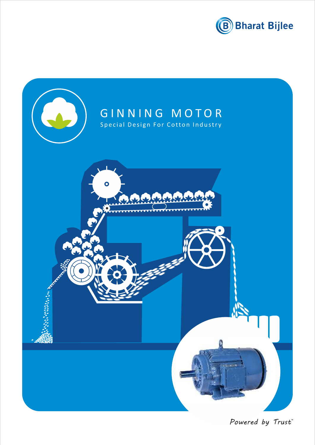



Powered by Trust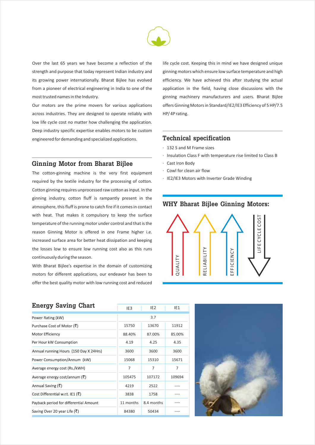

Over the last 65 years we have become a reflection of the strength and purpose that today represent Indian industry and its growing power internationally. Bharat Bijlee has evolved from a pioneer of electrical engineering in India to one of the most trusted names in the Industry.

Our motors are the prime movers for various applications across industries. They are designed to operate reliably with low life cycle cost no matter how challenging the application. Deep industry specific expertise enables motors to be custom engineered for demanding and specialized applications. **Technical specification**

#### **Ginning Motor from Bharat Bijlee**

The cotton-ginning machine is the very first equipment required by the textile industry for the processing of cotton. Cotton ginning requires unprocessed raw cotton as input. In the ginning industry, cotton fluff is rampantly present in the atmosphere, this fluff is prone to catch fire if it comes in contact with heat. That makes it compulsory to keep the surface temperature of the running motor under control and that is the reason Ginning Motor is offered in one Frame higher i.e. increased surface area for better heat dissipation and keeping the losses low to ensure low running cost also as this runs continuously during the season.

With Bharat Bijlee's expertise in the domain of customizing motors for different applications, our endeavor has been to offer the best quality motor with low running cost and reduced

life cycle cost. Keeping this in mind we have designed unique ginning motors which ensure low surface temperature and high efficiency. We have achieved this after studying the actual application in the field, having close discussions with the ginning machinery manufacturers and users. Bharat Bijlee offers Ginning Motors in Standard/IE2/IE3 Efficiency of 5 HP/7.5 HP/ 4P rating.

- · 132 S and M Frame sizes
- · Insulation Class F with temperature rise limited to Class B
- · Cast Iron Body
- · Cowl for clean air flow
- · IE2/IE3 Motors with Inverter Grade Winding

### **WHY Bharat Bijlee Ginning Motors:**



| <b>Energy Saving Chart</b>                        | IE <sub>3</sub> | IE <sub>2</sub> | IE1    |  |  |  |  |  |
|---------------------------------------------------|-----------------|-----------------|--------|--|--|--|--|--|
| Power Rating (kW)                                 |                 | 3.7             |        |  |  |  |  |  |
| Purchase Cost of Motor (₹)                        | 15750           | 13670           | 11912  |  |  |  |  |  |
| Motor Efficiency                                  | 88.40%          | 87.00%          | 85.00% |  |  |  |  |  |
| Per Hour kW Consumption                           | 4.19            | 4.25            | 4.35   |  |  |  |  |  |
| Annual running Hours (150 Day X 24Hrs)            | 3600            | 3600            | 3600   |  |  |  |  |  |
| Power Consumption/Annum (kW)                      | 15068           | 15310           | 15671  |  |  |  |  |  |
| Average energy cost (Rs./kWH)                     | 7               | 7               | 7      |  |  |  |  |  |
| Average energy cost/annum ( $\bar{\bar{\zeta}}$ ) | 105475          | 107172          | 109694 |  |  |  |  |  |
| Annual Saving (₹)                                 | 4219            | 2522            | ----   |  |  |  |  |  |
| Cost Differential w.r.t. IE1 (₹)                  | 3838            | 1758            |        |  |  |  |  |  |
| Payback period for differential Amount            | 11 months       | 8.4 months      |        |  |  |  |  |  |
| Saving Over 20 year Life (₹)                      | 84380           | 50434           |        |  |  |  |  |  |

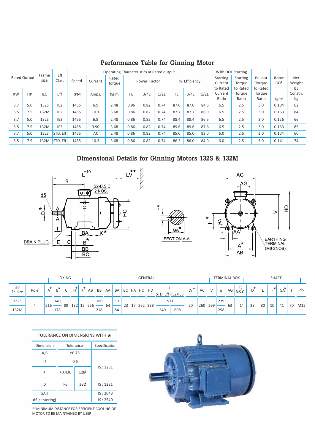|           |                     |               |                     |            |         | Operating Characteristics at Rated output |              |      | With DOL Starting |      |              |      |                              |                             |                             |                          |                                 |  |
|-----------|---------------------|---------------|---------------------|------------|---------|-------------------------------------------|--------------|------|-------------------|------|--------------|------|------------------------------|-----------------------------|-----------------------------|--------------------------|---------------------------------|--|
|           | <b>Rated Output</b> | Frame<br>size | Eff<br><b>Class</b> | Speed      | Current | Rated<br>Torque                           | Power Factor |      |                   |      | % Efficiency |      | <b>Starting</b><br>Current   | <b>Starting</b><br>Torque   | Pullout<br>Torque           | Rotor<br>GD <sup>2</sup> | Net<br>Weight                   |  |
| <b>KW</b> | HP                  | <b>IEC</b>    | Eff                 | <b>RPM</b> | Amps.   | Kg.m                                      | FL           | 3/4L | 1/2L              | FL.  | 3/4L         | 1/2L | to Rated<br>Current<br>Ratio | to Rated<br>Torque<br>Ratio | to Rated<br>Torque<br>Ratio | kgm <sup>2</sup>         | B <sub>3</sub><br>Constn.<br>Kg |  |
| 3.7       | 5.0                 | 132S          | IE <sub>2</sub>     | 1455       | 6.9     | 2.48                                      | 0.86         | 0.82 | 0.74              | 87.0 | 87.0         | 84.5 | 6.5                          | 2.5                         | 3.0                         | 0.104                    | 62                              |  |
| 5.5       | 7.5                 | 132M          | IE <sub>2</sub>     | 1455       | 10.1    | 3.68                                      | 0.86         | 0.82 | 0.74              | 87.7 | 87.7         | 86.0 | 6.5                          | 2.5                         | 3.0                         | 0.163                    | 84                              |  |
| 3.7       | 5.0                 | 132S          | IE <sub>3</sub>     | 1455       | 6.8     | 2.48                                      | 0.86         | 0.82 | 0.74              | 88.4 | 88.4         | 86.5 | 6.5                          | 2.5                         | 3.0                         | 0.126                    | 66                              |  |
| 5.5       | 7.5                 | 132M          | IE <sub>3</sub>     | 1455       | 9.90    | 3.68                                      | 0.86         | 0.82 | 0.74              | 89.6 | 89.6         | 87.6 | 6.5                          | 2.5                         | 3.0                         | 0.163                    | 85                              |  |
| 3.7       | 5.0                 | 132S          | STD. Eff            | 1455       | 7.0     | 2.48                                      | 0.86         | 0.82 | 0.74              | 85.0 | 85.0         | 83.0 | 6.0                          | 2.5                         | 3.0                         | 0.104                    | 60                              |  |
| 5.5       | 7.5                 | 132M          | STD. Eff            | 1455       | 10.3    | 3.68                                      | 0.86         | 0.82 | 0.74              | 86.5 | 86.0         | 84.0 | 6.0                          | 2.5                         | 3.0                         | 0.141                    | 74                              |  |

## **Performance Table for Ginning Motor**

### **Dimensional Details for Ginning Motors 132S & 132M**







|                 |      |       |                  | <b>FIXING</b> |       |                              |     |           |    |           |       |               |    | GENERAL   |                    |        |     |     | -TERMINAL BOX |    |                          |         |                          | <b>SHAFT</b> |        |    |                |
|-----------------|------|-------|------------------|---------------|-------|------------------------------|-----|-----------|----|-----------|-------|---------------|----|-----------|--------------------|--------|-----|-----|---------------|----|--------------------------|---------|--------------------------|--------------|--------|----|----------------|
| IEC<br>Fr. size | Pole | $A^*$ | ,∗ັ              |               | $H^*$ | $\mathcal{L}^{\bullet}$<br>N | AB  | <b>BB</b> | AA | <b>BA</b> | BC HA |               | HC | <b>HD</b> | STD. Eff   IE2/IE3 | $IV**$ | AC  |     | q             | AG | S <sub>2</sub><br>B.S.C. | $\star$ | $\overline{\phantom{0}}$ |              | $GA^*$ |    | d <sub>5</sub> |
| 132S            |      |       | 140 <sub>1</sub> |               |       |                              |     | 180       |    | 50        | 22    | $\rightarrow$ |    |           | 511                |        |     |     | 239           |    | 11                       |         |                          |              |        |    |                |
| 132M            | 4    | 216   | 178              | 89            | 132   | 12                           | 256 | 218       | 64 | 54        | دے    |               |    | 262 338   | 608<br>549         | 50     | 260 | 299 | 258           | 63 |                          | 38      | 80                       | 10           | 41     | 70 | M12            |

#### TOLERANCE ON DIMENSIONS WITH  $\star$

| Dimension     |                | Tolerance     | Specification |  |  |  |  |
|---------------|----------------|---------------|---------------|--|--|--|--|
| A,B           |                | ±0.75         |               |  |  |  |  |
| н             |                | $-0.5$        |               |  |  |  |  |
| К             | $+0.430$       | $12\emptyset$ | IS: 1231      |  |  |  |  |
| D             | k <sub>6</sub> | 38Ø           | IS: 1231      |  |  |  |  |
| GA,F          |                |               | IS: 2048      |  |  |  |  |
| d5(centering) |                |               | IS: 2540      |  |  |  |  |

\*\*MINIMUM DISTANCE FOR EFFICIENT COOLING OF MOTOR TO BE MAINTAINED BY USER